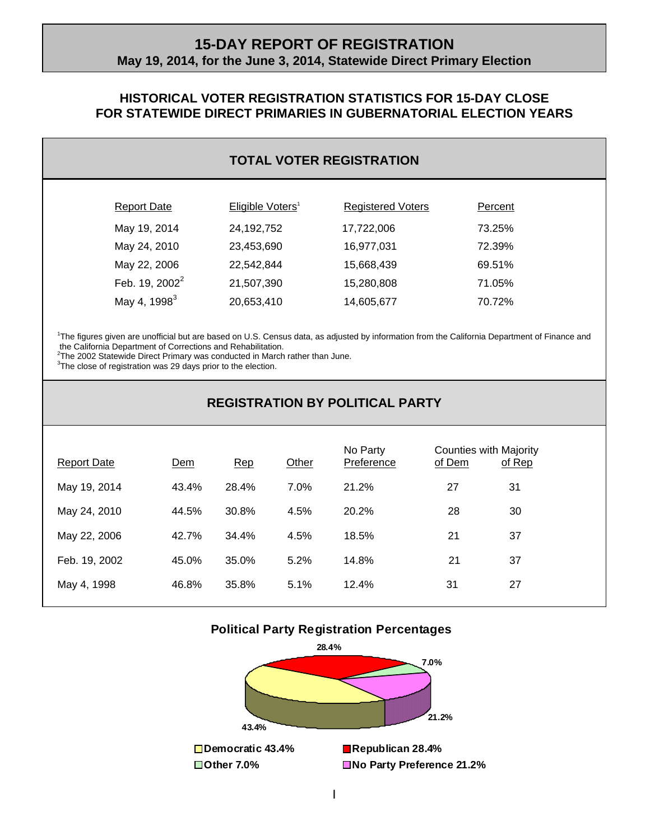### **15-DAY REPORT OF REGISTRATION May 19, 2014, for the June 3, 2014, Statewide Direct Primary Election**

### **HISTORICAL VOTER REGISTRATION STATISTICS FOR 15-DAY CLOSE FOR STATEWIDE DIRECT PRIMARIES IN GUBERNATORIAL ELECTION YEARS**

### **TOTAL VOTER REGISTRATION**

| <b>Report Date</b>       | Eligible Voters <sup>1</sup> | <b>Registered Voters</b> | Percent |
|--------------------------|------------------------------|--------------------------|---------|
| May 19, 2014             | 24, 192, 752                 | 17,722,006               | 73.25%  |
| May 24, 2010             | 23,453,690                   | 16,977,031               | 72.39%  |
| May 22, 2006             | 22,542,844                   | 15,668,439               | 69.51%  |
| Feb. 19, $2002^2$        | 21,507,390                   | 15,280,808               | 71.05%  |
| May 4, 1998 <sup>3</sup> | 20,653,410                   | 14,605,677               | 70.72%  |
|                          |                              |                          |         |

1 The figures given are unofficial but are based on U.S. Census data, as adjusted by information from the California Department of Finance and the California Department of Corrections and Rehabilitation. 2 The 2002 Statewide Direct Primary was conducted in March rather than June.

 $3$ The close of registration was 29 days prior to the election.

l

## **REGISTRATION BY POLITICAL PARTY**

| <b>Report Date</b> | Dem   | Rep   | Other | No Party<br>Preference | Counties with Majority<br>of Dem | of Rep |
|--------------------|-------|-------|-------|------------------------|----------------------------------|--------|
| May 19, 2014       | 43.4% | 28.4% | 7.0%  | 21.2%                  | 27                               | 31     |
| May 24, 2010       | 44.5% | 30.8% | 4.5%  | 20.2%                  | 28                               | 30     |
| May 22, 2006       | 42.7% | 34.4% | 4.5%  | 18.5%                  | 21                               | 37     |
| Feb. 19, 2002      | 45.0% | 35.0% | 5.2%  | 14.8%                  | 21                               | 37     |
| May 4, 1998        | 46.8% | 35.8% | 5.1%  | 12.4%                  | 31                               | 27     |

#### **Political Party Registration Percentages**